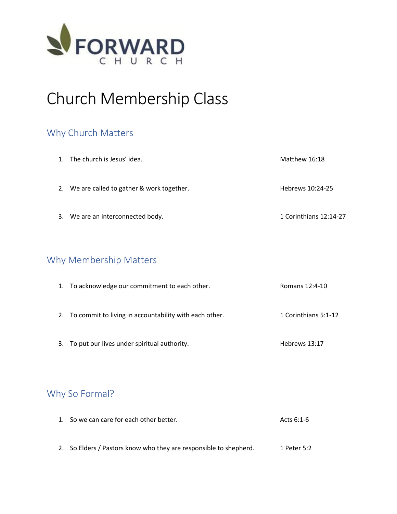

# Church Membership Class

# Why Church Matters

| 1. The church is Jesus' idea.               | Matthew 16:18          |
|---------------------------------------------|------------------------|
| 2. We are called to gather & work together. | Hebrews 10:24-25       |
| 3. We are an interconnected body.           | 1 Corinthians 12:14-27 |

# Why Membership Matters

| 1. To acknowledge our commitment to each other.           | Romans 12:4-10       |
|-----------------------------------------------------------|----------------------|
| 2. To commit to living in accountability with each other. | 1 Corinthians 5:1-12 |
| 3. To put our lives under spiritual authority.            | Hebrews 13:17        |

# Why So Formal?

| 1. So we can care for each other better.                          | Acts 6:1-6  |
|-------------------------------------------------------------------|-------------|
|                                                                   |             |
|                                                                   |             |
| 2. So Elders / Pastors know who they are responsible to shepherd. | 1 Peter 5:2 |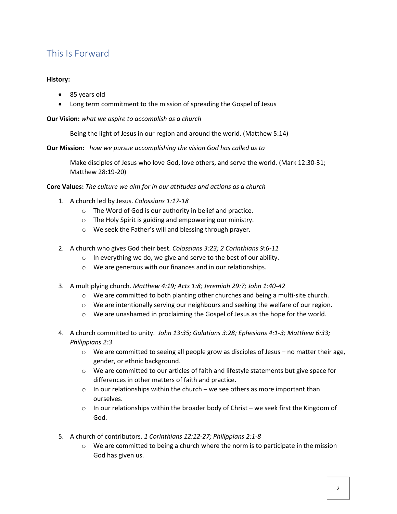# This Is Forward

### **History:**

- 85 years old
- Long term commitment to the mission of spreading the Gospel of Jesus

**Our Vision:** *what we aspire to accomplish as a church*

Being the light of Jesus in our region and around the world. (Matthew 5:14)

**Our Mission:** *how we pursue accomplishing the vision God has called us to*

Make disciples of Jesus who love God, love others, and serve the world. (Mark 12:30-31; Matthew 28:19-20)

### **Core Values:** *The culture we aim for in our attitudes and actions as a church*

- 1. A church led by Jesus. *Colossians 1:17-18*
	- o The Word of God is our authority in belief and practice.
	- o The Holy Spirit is guiding and empowering our ministry.
	- o We seek the Father's will and blessing through prayer.
- 2. A church who gives God their best. *Colossians 3:23; 2 Corinthians 9:6-11* 
	- o In everything we do, we give and serve to the best of our ability.
	- o We are generous with our finances and in our relationships.
- 3. A multiplying church. *Matthew 4:19; Acts 1:8; Jeremiah 29:7; John 1:40-42*
	- $\circ$  We are committed to both planting other churches and being a multi-site church.
	- $\circ$  We are intentionally serving our neighbours and seeking the welfare of our region.
	- o We are unashamed in proclaiming the Gospel of Jesus as the hope for the world.
- 4. A church committed to unity. *John 13:35; Galatians 3:28; Ephesians 4:1-3; Matthew 6:33; Philippians 2:3* 
	- $\circ$  We are committed to seeing all people grow as disciples of Jesus no matter their age, gender, or ethnic background.
	- $\circ$  We are committed to our articles of faith and lifestyle statements but give space for differences in other matters of faith and practice.
	- $\circ$  In our relationships within the church we see others as more important than ourselves.
	- $\circ$  In our relationships within the broader body of Christ we seek first the Kingdom of God.
- 5. A church of contributors. *1 Corinthians 12:12-27; Philippians 2:1-8* 
	- $\circ$  We are committed to being a church where the norm is to participate in the mission God has given us.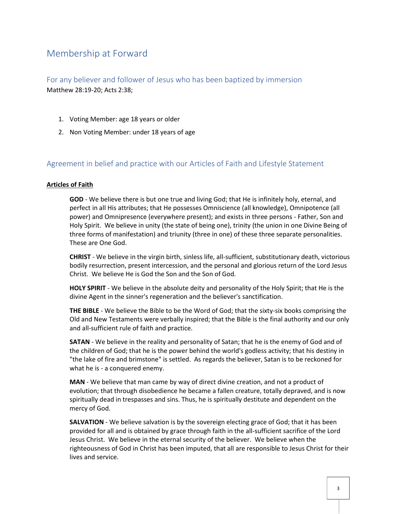# Membership at Forward

For any believer and follower of Jesus who has been baptized by immersion Matthew 28:19-20; Acts 2:38;

- 1. Voting Member: age 18 years or older
- 2. Non Voting Member: under 18 years of age

### Agreement in belief and practice with our Articles of Faith and Lifestyle Statement

#### **Articles of Faith**

**GOD** - We believe there is but one true and living God; that He is infinitely holy, eternal, and perfect in all His attributes; that He possesses Omniscience (all knowledge), Omnipotence (all power) and Omnipresence (everywhere present); and exists in three persons - Father, Son and Holy Spirit. We believe in unity (the state of being one), trinity (the union in one Divine Being of three forms of manifestation) and triunity (three in one) of these three separate personalities. These are One God.

**CHRIST** - We believe in the virgin birth, sinless life, all-sufficient, substitutionary death, victorious bodily resurrection, present intercession, and the personal and glorious return of the Lord Jesus Christ. We believe He is God the Son and the Son of God.

**HOLY SPIRIT** - We believe in the absolute deity and personality of the Holy Spirit; that He is the divine Agent in the sinner's regeneration and the believer's sanctification.

**THE BIBLE** - We believe the Bible to be the Word of God; that the sixty-six books comprising the Old and New Testaments were verbally inspired; that the Bible is the final authority and our only and all-sufficient rule of faith and practice.

**SATAN** - We believe in the reality and personality of Satan; that he is the enemy of God and of the children of God; that he is the power behind the world's godless activity; that his destiny in "the lake of fire and brimstone" is settled. As regards the believer, Satan is to be reckoned for what he is - a conquered enemy.

**MAN** - We believe that man came by way of direct divine creation, and not a product of evolution; that through disobedience he became a fallen creature, totally depraved, and is now spiritually dead in trespasses and sins. Thus, he is spiritually destitute and dependent on the mercy of God.

**SALVATION** - We believe salvation is by the sovereign electing grace of God; that it has been provided for all and is obtained by grace through faith in the all-sufficient sacrifice of the Lord Jesus Christ. We believe in the eternal security of the believer. We believe when the righteousness of God in Christ has been imputed, that all are responsible to Jesus Christ for their lives and service.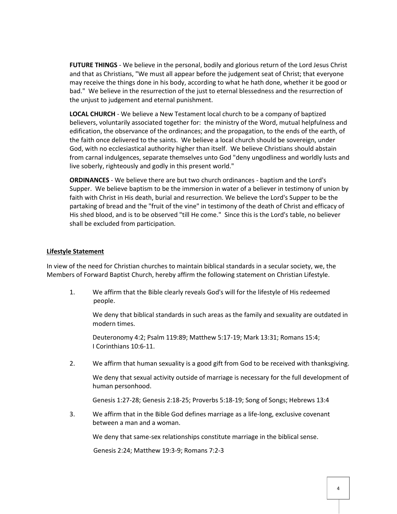**FUTURE THINGS** - We believe in the personal, bodily and glorious return of the Lord Jesus Christ and that as Christians, "We must all appear before the judgement seat of Christ; that everyone may receive the things done in his body, according to what he hath done, whether it be good or bad." We believe in the resurrection of the just to eternal blessedness and the resurrection of the unjust to judgement and eternal punishment.

**LOCAL CHURCH** - We believe a New Testament local church to be a company of baptized believers, voluntarily associated together for: the ministry of the Word, mutual helpfulness and edification, the observance of the ordinances; and the propagation, to the ends of the earth, of the faith once delivered to the saints. We believe a local church should be sovereign, under God, with no ecclesiastical authority higher than itself. We believe Christians should abstain from carnal indulgences, separate themselves unto God "deny ungodliness and worldly lusts and live soberly, righteously and godly in this present world."

**ORDINANCES** - We believe there are but two church ordinances - baptism and the Lord's Supper. We believe baptism to be the immersion in water of a believer in testimony of union by faith with Christ in His death, burial and resurrection. We believe the Lord's Supper to be the partaking of bread and the "fruit of the vine" in testimony of the death of Christ and efficacy of His shed blood, and is to be observed "till He come." Since this is the Lord's table, no believer shall be excluded from participation.

#### **Lifestyle Statement**

In view of the need for Christian churches to maintain biblical standards in a secular society, we, the Members of Forward Baptist Church, hereby affirm the following statement on Christian Lifestyle.

1. We affirm that the Bible clearly reveals God's will for the lifestyle of His redeemed people.

We deny that biblical standards in such areas as the family and sexuality are outdated in modern times.

Deuteronomy 4:2; Psalm 119:89; Matthew 5:17-19; Mark 13:31; Romans 15:4; I Corinthians 10:6-11.

2. We affirm that human sexuality is a good gift from God to be received with thanksgiving.

We deny that sexual activity outside of marriage is necessary for the full development of human personhood.

Genesis 1:27-28; Genesis 2:18-25; Proverbs 5:18-19; Song of Songs; Hebrews 13:4

3. We affirm that in the Bible God defines marriage as a life-long, exclusive covenant between a man and a woman.

We deny that same-sex relationships constitute marriage in the biblical sense.

Genesis 2:24; Matthew 19:3-9; Romans 7:2-3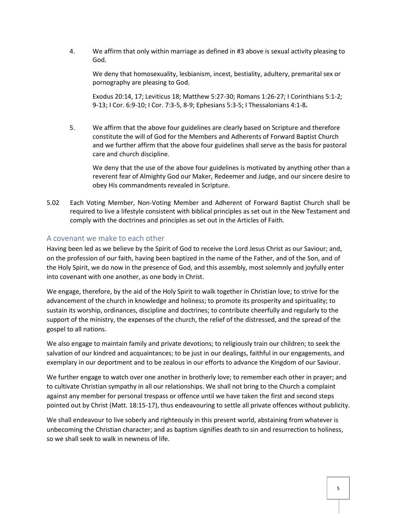4. We affirm that only within marriage as defined in #3 above is sexual activity pleasing to God.

We deny that homosexuality, lesbianism, incest, bestiality, adultery, premarital sex or pornography are pleasing to God.

Exodus 20:14, 17; Leviticus 18; Matthew 5:27-30; Romans 1:26-27; I Corinthians 5:1-2; 9-13; I Cor. 6:9-10; I Cor. 7:3-5, 8-9; Ephesians 5:3-5; I Thessalonians 4:1-8**.**

5. We affirm that the above four guidelines are clearly based on Scripture and therefore constitute the will of God for the Members and Adherents of Forward Baptist Church and we further affirm that the above four guidelines shall serve as the basis for pastoral care and church discipline.

We deny that the use of the above four guidelines is motivated by anything other than a reverent fear of Almighty God our Maker, Redeemer and Judge, and our sincere desire to obey His commandments revealed in Scripture.

5.02 Each Voting Member, Non-Voting Member and Adherent of Forward Baptist Church shall be required to live a lifestyle consistent with biblical principles as set out in the New Testament and comply with the doctrines and principles as set out in the Articles of Faith.

### A covenant we make to each other

Having been led as we believe by the Spirit of God to receive the Lord Jesus Christ as our Saviour; and, on the profession of our faith, having been baptized in the name of the Father, and of the Son, and of the Holy Spirit, we do now in the presence of God, and this assembly, most solemnly and joyfully enter into covenant with one another, as one body in Christ.

We engage, therefore, by the aid of the Holy Spirit to walk together in Christian love; to strive for the advancement of the church in knowledge and holiness; to promote its prosperity and spirituality; to sustain its worship, ordinances, discipline and doctrines; to contribute cheerfully and regularly to the support of the ministry, the expenses of the church, the relief of the distressed, and the spread of the gospel to all nations.

We also engage to maintain family and private devotions; to religiously train our children; to seek the salvation of our kindred and acquaintances; to be just in our dealings, faithful in our engagements, and exemplary in our deportment and to be zealous in our efforts to advance the Kingdom of our Saviour.

We further engage to watch over one another in brotherly love; to remember each other in prayer; and to cultivate Christian sympathy in all our relationships. We shall not bring to the Church a complaint against any member for personal trespass or offence until we have taken the first and second steps pointed out by Christ (Matt. 18:15-17), thus endeavouring to settle all private offences without publicity.

We shall endeavour to live soberly and righteously in this present world, abstaining from whatever is unbecoming the Christian character; and as baptism signifies death to sin and resurrection to holiness, so we shall seek to walk in newness of life.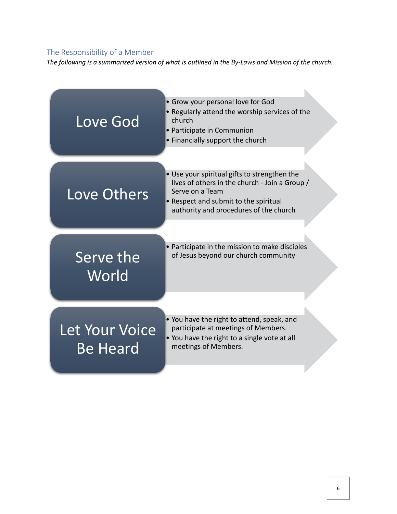## The Responsibility of a Member

*The following is a summarized version of what is outlined in the By-Laws and Mission of the church.*

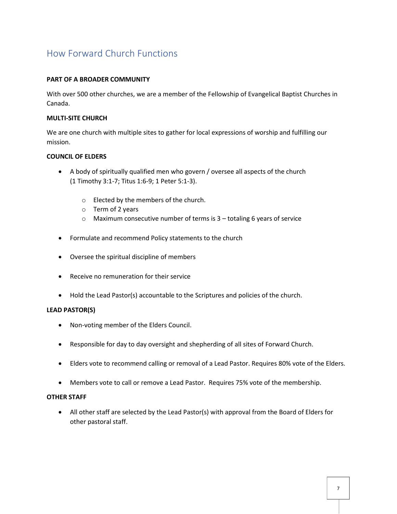# How Forward Church Functions

### **PART OF A BROADER COMMUNITY**

With over 500 other churches, we are a member of the Fellowship of Evangelical Baptist Churches in Canada.

### **MULTI-SITE CHURCH**

We are one church with multiple sites to gather for local expressions of worship and fulfilling our mission.

### **COUNCIL OF ELDERS**

- A body of spiritually qualified men who govern / oversee all aspects of the church (1 Timothy 3:1-7; Titus 1:6-9; 1 Peter 5:1-3).
	- o Elected by the members of the church.
	- o Term of 2 years
	- o Maximum consecutive number of terms is 3 totaling 6 years of service
- Formulate and recommend Policy statements to the church
- Oversee the spiritual discipline of members
- Receive no remuneration for their service
- Hold the Lead Pastor(s) accountable to the Scriptures and policies of the church.

### **LEAD PASTOR(S)**

- Non-voting member of the Elders Council.
- Responsible for day to day oversight and shepherding of all sites of Forward Church.
- Elders vote to recommend calling or removal of a Lead Pastor. Requires 80% vote of the Elders.
- Members vote to call or remove a Lead Pastor. Requires 75% vote of the membership.

### **OTHER STAFF**

• All other staff are selected by the Lead Pastor(s) with approval from the Board of Elders for other pastoral staff.